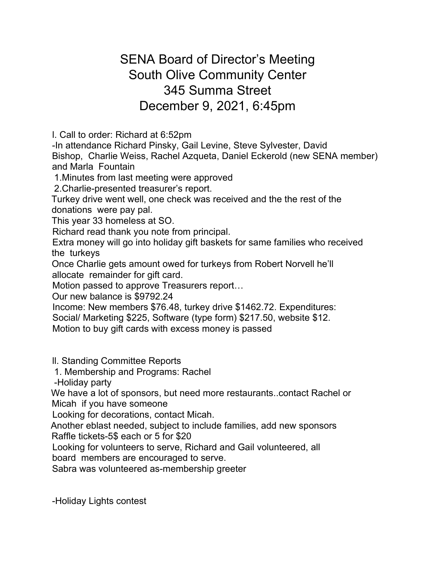## SENA Board of Director's Meeting South Olive Community Center 345 Summa Street December 9, 2021, 6:45pm

l. Call to order: Richard at 6:52pm

-In attendance Richard Pinsky, Gail Levine, Steve Sylvester, David Bishop, Charlie Weiss, Rachel Azqueta, Daniel Eckerold (new SENA member) and Marla Fountain

1.Minutes from last meeting were approved

2.Charlie-presented treasurer's report.

Turkey drive went well, one check was received and the the rest of the donations were pay pal.

This year 33 homeless at SO.

Richard read thank you note from principal.

Extra money will go into holiday gift baskets for same families who received the turkeys

Once Charlie gets amount owed for turkeys from Robert Norvell he'll allocate remainder for gift card.

Motion passed to approve Treasurers report…

Our new balance is \$9792.24

Income: New members \$76.48, turkey drive \$1462.72. Expenditures:

Social/ Marketing \$225, Software (type form) \$217.50, website \$12.

Motion to buy gift cards with excess money is passed

ll. Standing Committee Reports

1. Membership and Programs: Rachel

-Holiday party

We have a lot of sponsors, but need more restaurants..contact Rachel or Micah if you have someone

Looking for decorations, contact Micah.

Another eblast needed, subject to include families, add new sponsors Raffle tickets-5\$ each or 5 for \$20

Looking for volunteers to serve, Richard and Gail volunteered, all

board members are encouraged to serve.

Sabra was volunteered as-membership greeter

-Holiday Lights contest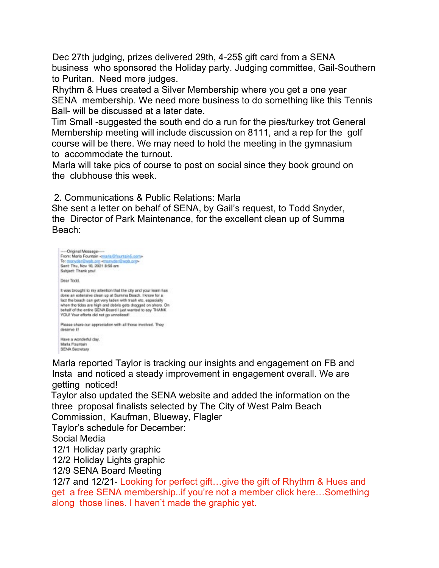Dec 27th judging, prizes delivered 29th, 4-25\$ gift card from a SENA business who sponsored the Holiday party. Judging committee, Gail-Southern to Puritan. Need more judges.

Rhythm & Hues created a Silver Membership where you get a one year SENA membership. We need more business to do something like this Tennis Ball- will be discussed at a later date.

Tim Small -suggested the south end do a run for the pies/turkey trot General Membership meeting will include discussion on 8111, and a rep for the golf course will be there. We may need to hold the meeting in the gymnasium to accommodate the turnout.

Marla will take pics of course to post on social since they book ground on the clubhouse this week.

2. Communications & Public Relations: Marla

She sent a letter on behalf of SENA, by Gail's request, to Todd Snyder, the Director of Park Maintenance, for the excellent clean up of Summa Beach:



Marla reported Taylor is tracking our insights and engagement on FB and Insta and noticed a steady improvement in engagement overall. We are getting noticed!

Taylor also updated the SENA website and added the information on the three proposal finalists selected by The City of West Palm Beach Commission, Kaufman, Blueway, Flagler

Taylor's schedule for December:

Social Media

12/1 Holiday party graphic

12/2 Holiday Lights graphic

12/9 SENA Board Meeting

12/7 and 12/21- Looking for perfect gift…give the gift of Rhythm & Hues and get a free SENA membership..if you're not a member click here…Something along those lines. I haven't made the graphic yet.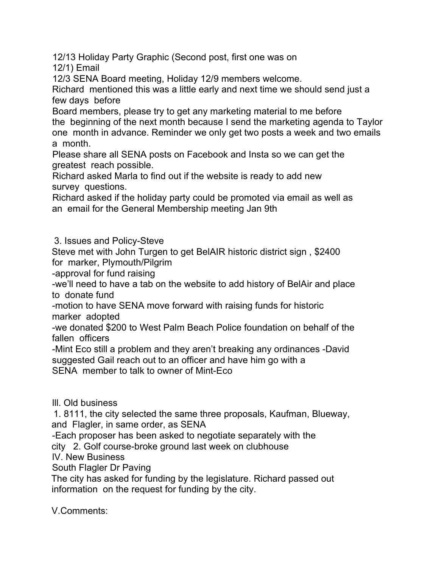12/13 Holiday Party Graphic (Second post, first one was on

12/1) Email

12/3 SENA Board meeting, Holiday 12/9 members welcome.

Richard mentioned this was a little early and next time we should send just a few days before

Board members, please try to get any marketing material to me before the beginning of the next month because I send the marketing agenda to Taylor one month in advance. Reminder we only get two posts a week and two emails a month.

Please share all SENA posts on Facebook and Insta so we can get the greatest reach possible.

Richard asked Marla to find out if the website is ready to add new survey questions.

Richard asked if the holiday party could be promoted via email as well as an email for the General Membership meeting Jan 9th

3. Issues and Policy-Steve

Steve met with John Turgen to get BelAIR historic district sign , \$2400 for marker, Plymouth/Pilgrim

-approval for fund raising

-we'll need to have a tab on the website to add history of BelAir and place to donate fund

-motion to have SENA move forward with raising funds for historic marker adopted

-we donated \$200 to West Palm Beach Police foundation on behalf of the fallen officers

-Mint Eco still a problem and they aren't breaking any ordinances -David suggested Gail reach out to an officer and have him go with a

SENA member to talk to owner of Mint-Eco

lll. Old business

1. 8111, the city selected the same three proposals, Kaufman, Blueway, and Flagler, in same order, as SENA

-Each proposer has been asked to negotiate separately with the

city 2. Golf course-broke ground last week on clubhouse

lV. New Business

South Flagler Dr Paving

The city has asked for funding by the legislature. Richard passed out information on the request for funding by the city.

V.Comments: